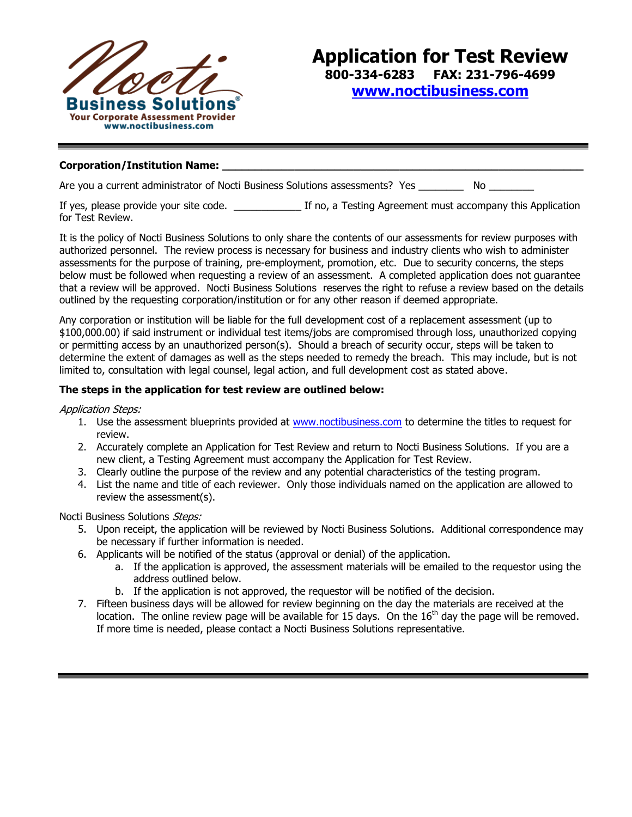

## Corporation/Institution Name:

Are you a current administrator of Nocti Business Solutions assessments? Yes \_\_\_\_\_\_\_\_\_\_ No \_\_\_\_\_\_\_

If yes, please provide your site code.  $\qquad \qquad$  If no, a Testing Agreement must accompany this Application for Test Review.

It is the policy of Nocti Business Solutions to only share the contents of our assessments for review purposes with authorized personnel. The review process is necessary for business and industry clients who wish to administer assessments for the purpose of training, pre-employment, promotion, etc. Due to security concerns, the steps below must be followed when requesting a review of an assessment. A completed application does not guarantee that a review will be approved. Nocti Business Solutions reserves the right to refuse a review based on the details outlined by the requesting corporation/institution or for any other reason if deemed appropriate.

Any corporation or institution will be liable for the full development cost of a replacement assessment (up to \$100,000.00) if said instrument or individual test items/jobs are compromised through loss, unauthorized copying or permitting access by an unauthorized person(s). Should a breach of security occur, steps will be taken to determine the extent of damages as well as the steps needed to remedy the breach. This may include, but is not limited to, consultation with legal counsel, legal action, and full development cost as stated above.

## **The steps in the application for test review are outlined below:**

Application Steps:

- 1. Use the assessment blueprints provided at [www.noctibusiness.com](http://www.noctibusiness.com/) to determine the titles to request for review.
- 2. Accurately complete an Application for Test Review and return to Nocti Business Solutions. If you are a new client, a Testing Agreement must accompany the Application for Test Review.
- 3. Clearly outline the purpose of the review and any potential characteristics of the testing program.
- 4. List the name and title of each reviewer. Only those individuals named on the application are allowed to review the assessment(s).

Nocti Business Solutions Steps:

- 5. Upon receipt, the application will be reviewed by Nocti Business Solutions. Additional correspondence may be necessary if further information is needed.
- 6. Applicants will be notified of the status (approval or denial) of the application.
	- a. If the application is approved, the assessment materials will be emailed to the requestor using the address outlined below.
	- b. If the application is not approved, the requestor will be notified of the decision.
- 7. Fifteen business days will be allowed for review beginning on the day the materials are received at the location. The online review page will be available for 15 days. On the  $16<sup>th</sup>$  day the page will be removed. If more time is needed, please contact a Nocti Business Solutions representative.